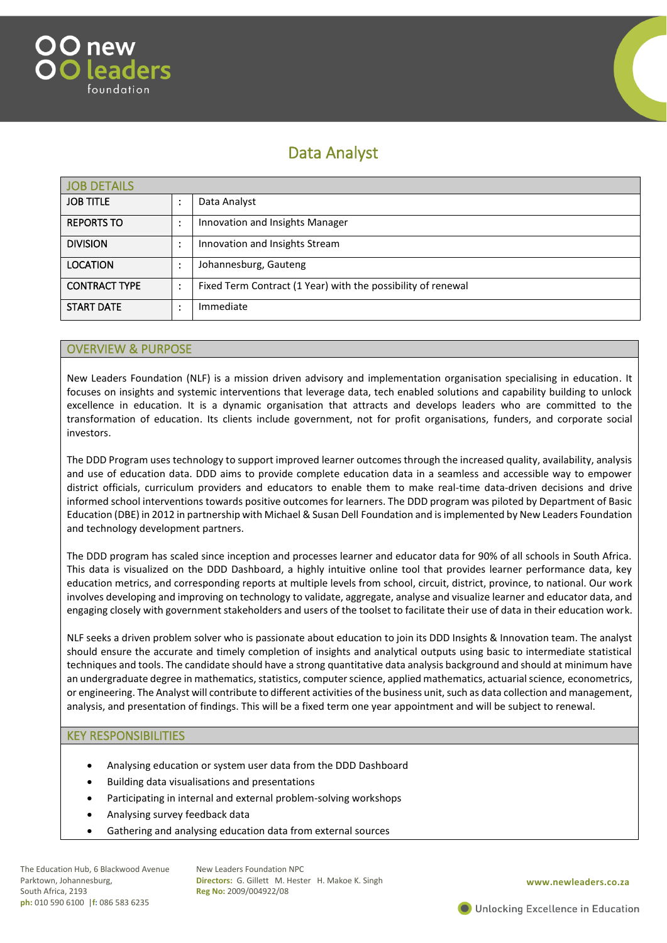



# Data Analyst

| <b>JOB DETAILS</b>   |   |                                                              |
|----------------------|---|--------------------------------------------------------------|
| <b>JOB TITLE</b>     |   | Data Analyst                                                 |
| <b>REPORTS TO</b>    | ٠ | Innovation and Insights Manager                              |
| <b>DIVISION</b>      | ٠ | Innovation and Insights Stream                               |
| <b>LOCATION</b>      |   | Johannesburg, Gauteng                                        |
| <b>CONTRACT TYPE</b> | ٠ | Fixed Term Contract (1 Year) with the possibility of renewal |
| <b>START DATE</b>    |   | Immediate                                                    |

### OVERVIEW & PURPOSE

New Leaders Foundation (NLF) is a mission driven advisory and implementation organisation specialising in education. It focuses on insights and systemic interventions that leverage data, tech enabled solutions and capability building to unlock excellence in education. It is a dynamic organisation that attracts and develops leaders who are committed to the transformation of education. Its clients include government, not for profit organisations, funders, and corporate social investors.

The DDD Program uses technology to support improved learner outcomes through the increased quality, availability, analysis and use of education data. DDD aims to provide complete education data in a seamless and accessible way to empower district officials, curriculum providers and educators to enable them to make real-time data-driven decisions and drive informed school interventions towards positive outcomes for learners. The DDD program was piloted by Department of Basic Education (DBE) in 2012 in partnership with Michael & Susan Dell Foundation and is implemented by New Leaders Foundation and technology development partners.

The DDD program has scaled since inception and processes learner and educator data for 90% of all schools in South Africa. This data is visualized on the DDD Dashboard, a highly intuitive online tool that provides learner performance data, key education metrics, and corresponding reports at multiple levels from school, circuit, district, province, to national. Our work involves developing and improving on technology to validate, aggregate, analyse and visualize learner and educator data, and engaging closely with government stakeholders and users of the toolset to facilitate their use of data in their education work.

NLF seeks a driven problem solver who is passionate about education to join its DDD Insights & Innovation team. The analyst should ensure the accurate and timely completion of insights and analytical outputs using basic to intermediate statistical techniques and tools. The candidate should have a strong quantitative data analysis background and should at minimum have an undergraduate degree in mathematics, statistics, computer science, applied mathematics, actuarial science, econometrics, or engineering. The Analyst will contribute to different activities of the business unit, such as data collection and management, analysis, and presentation of findings. This will be a fixed term one year appointment and will be subject to renewal.

#### KEY RESPONSIBILITIES

- Analysing education or system user data from the DDD Dashboard
- Building data visualisations and presentations
- Participating in internal and external problem-solving workshops
- Analysing survey feedback data
- Gathering and analysing education data from external sources

The Education Hub, 6 Blackwood Avenue Parktown, Johannesburg, South Africa, 2193 **ph:** 010 590 6100 |**f:** 086 583 6235

New Leaders Foundation NPC **Directors:** G. Gillett M. Hester H. Makoe K. Singh **Reg No:** 2009/004922/08

**www.newleaders.co.za**